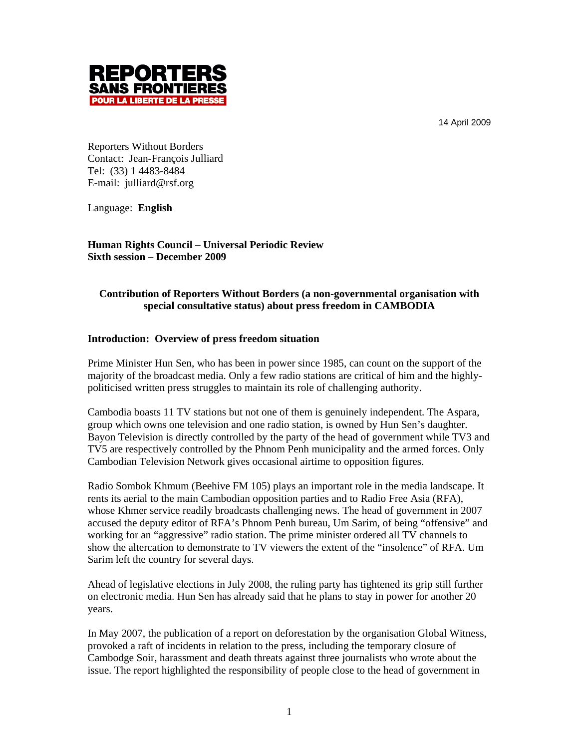14 April 2009



Reporters Without Borders Contact: Jean-François Julliard Tel: (33) 1 4483-8484 E-mail: julliard@rsf.org

Language: **English**

**Human Rights Council – Universal Periodic Review Sixth session – December 2009**

# **Contribution of Reporters Without Borders (a non-governmental organisation with special consultative status) about press freedom in CAMBODIA**

## **Introduction: Overview of press freedom situation**

Prime Minister Hun Sen, who has been in power since 1985, can count on the support of the majority of the broadcast media. Only a few radio stations are critical of him and the highlypoliticised written press struggles to maintain its role of challenging authority.

Cambodia boasts 11 TV stations but not one of them is genuinely independent. The Aspara, group which owns one television and one radio station, is owned by Hun Sen's daughter. Bayon Television is directly controlled by the party of the head of government while TV3 and TV5 are respectively controlled by the Phnom Penh municipality and the armed forces. Only Cambodian Television Network gives occasional airtime to opposition figures.

Radio Sombok Khmum (Beehive FM 105) plays an important role in the media landscape. It rents its aerial to the main Cambodian opposition parties and to Radio Free Asia (RFA), whose Khmer service readily broadcasts challenging news. The head of government in 2007 accused the deputy editor of RFA's Phnom Penh bureau, Um Sarim, of being "offensive" and working for an "aggressive" radio station. The prime minister ordered all TV channels to show the altercation to demonstrate to TV viewers the extent of the "insolence" of RFA. Um Sarim left the country for several days.

Ahead of legislative elections in July 2008, the ruling party has tightened its grip still further on electronic media. Hun Sen has already said that he plans to stay in power for another 20 years.

In May 2007, the publication of a report on deforestation by the organisation Global Witness, provoked a raft of incidents in relation to the press, including the temporary closure of Cambodge Soir, harassment and death threats against three journalists who wrote about the issue. The report highlighted the responsibility of people close to the head of government in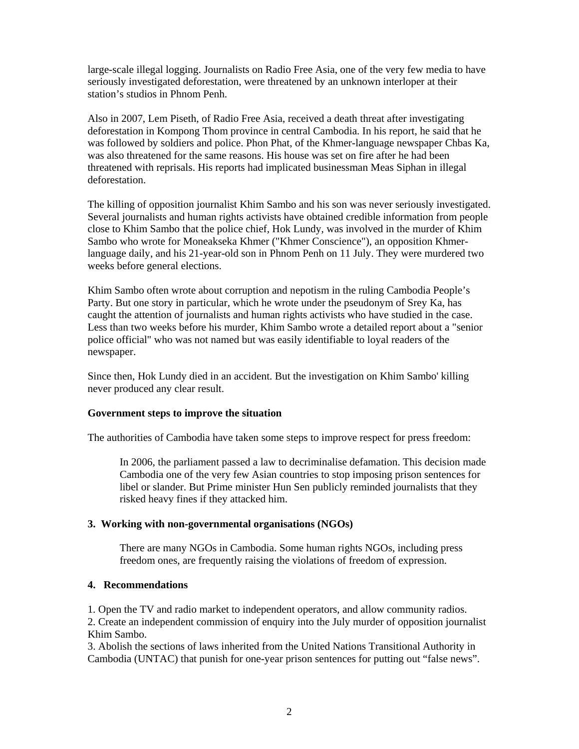large-scale illegal logging. Journalists on Radio Free Asia, one of the very few media to have seriously investigated deforestation, were threatened by an unknown interloper at their station's studios in Phnom Penh.

Also in 2007, Lem Piseth, of Radio Free Asia, received a death threat after investigating deforestation in Kompong Thom province in central Cambodia. In his report, he said that he was followed by soldiers and police. Phon Phat, of the Khmer-language newspaper Chbas Ka, was also threatened for the same reasons. His house was set on fire after he had been threatened with reprisals. His reports had implicated businessman Meas Siphan in illegal deforestation.

The killing of opposition journalist Khim Sambo and his son was never seriously investigated. Several journalists and human rights activists have obtained credible information from people close to Khim Sambo that the police chief, Hok Lundy, was involved in the murder of Khim Sambo who wrote for Moneakseka Khmer ("Khmer Conscience"), an opposition Khmerlanguage daily, and his 21-year-old son in Phnom Penh on 11 July. They were murdered two weeks before general elections.

Khim Sambo often wrote about corruption and nepotism in the ruling Cambodia People's Party. But one story in particular, which he wrote under the pseudonym of Srey Ka, has caught the attention of journalists and human rights activists who have studied in the case. Less than two weeks before his murder, Khim Sambo wrote a detailed report about a "senior police official" who was not named but was easily identifiable to loyal readers of the newspaper.

Since then, Hok Lundy died in an accident. But the investigation on Khim Sambo' killing never produced any clear result.

### **Government steps to improve the situation**

The authorities of Cambodia have taken some steps to improve respect for press freedom:

In 2006, the parliament passed a law to decriminalise defamation. This decision made Cambodia one of the very few Asian countries to stop imposing prison sentences for libel or slander. But Prime minister Hun Sen publicly reminded journalists that they risked heavy fines if they attacked him.

### **3. Working with non-governmental organisations (NGOs)**

There are many NGOs in Cambodia. Some human rights NGOs, including press freedom ones, are frequently raising the violations of freedom of expression.

### **4. Recommendations**

1. Open the TV and radio market to independent operators, and allow community radios.

2. Create an independent commission of enquiry into the July murder of opposition journalist Khim Sambo.

3. Abolish the sections of laws inherited from the United Nations Transitional Authority in Cambodia (UNTAC) that punish for one-year prison sentences for putting out "false news".